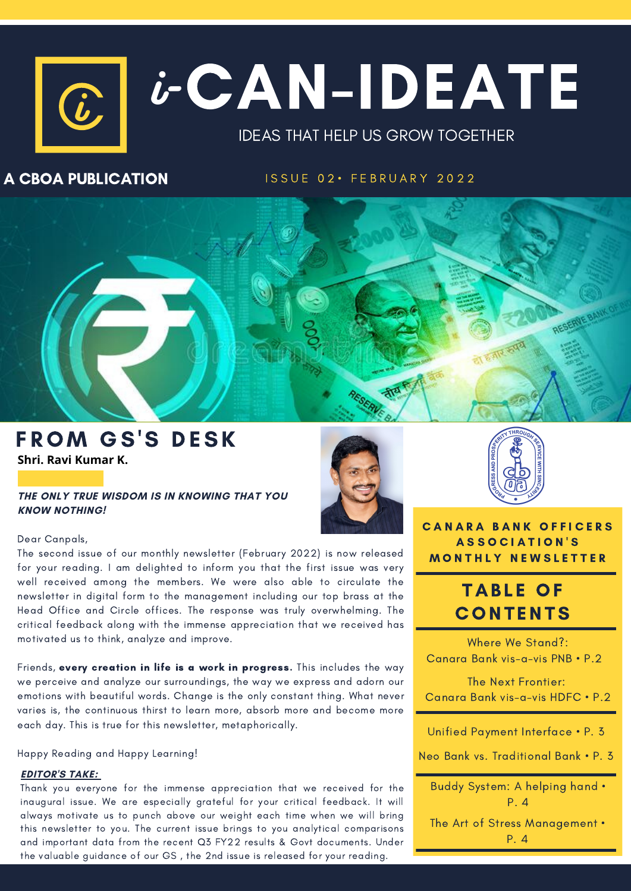# $\boxed{c}$   $i$  -  $C$   $\Lambda$   $N$  –  $ID$   $E$   $\Lambda$   $T$   $E$ IDEAS THAT HELP US GROW TOGETHER  $\bm{\dot{b}}^$ i

### A CBOA PUBLICATION

ISSUE 02 · FEBRUARY 2022



### FROM GS'S DESK **Shri. Ravi Kumar K.**

**THE ONLY TRUE WISDOM IS IN KNOWING THAT YOU KNOW NOTHING!**

### Dear Canpals,

The second issue of our monthly newsletter (February 2022) is now released for your reading. I am delighted to inform you that the first issue was very well received among the members. We were also able to circulate the newsletter in digital form to the management including our top brass at the Head Office and Circle offices. The response was truly overwhelming. The critical feedback along with the immense appreciation that we received has motivated us to think, analyze and improve.

Friends, every creation in life is a work in progress. This includes the way we perceive and analyze our surroundings, the way we express and adorn our emotions with beautiful words. Change is the only constant thing. What never varies is, the continuous thirst to learn more, absorb more and become more each day. This is true for this newsletter, metaphorically.

Happy Reading and Happy Learning!

### **EDITOR'S TAKE:**

Thank you everyone for the immense appreciation that we received for the inaugural issue. We are especially grateful for your critical feedback. It will always motivate us to punch above our weight each time when we will bring this newsletter to you. The current issue brings to you analytical comparisons and important data from the recent Q3 FY22 results & Govt documents. Under the valuable guidance of our GS , the 2nd issue is released for your reading.





**CANARA BANK OFFICERS** A S S O C I A T I O N ' S **MONTHLY NEWSLETTER** 

# **TABLE OF CONTENTS**

Where We Stand?: Canara Bank vis-a-vis PNB • P.2

The Next Frontier: Canara Bank vis-a-vis HDFC • P.2

Unified Payment Interface • P. 3

Neo Bank vs. Traditional Bank • P. 3

Buddy System: A helping hand • P. 4

The Art of Stress Management • P. 4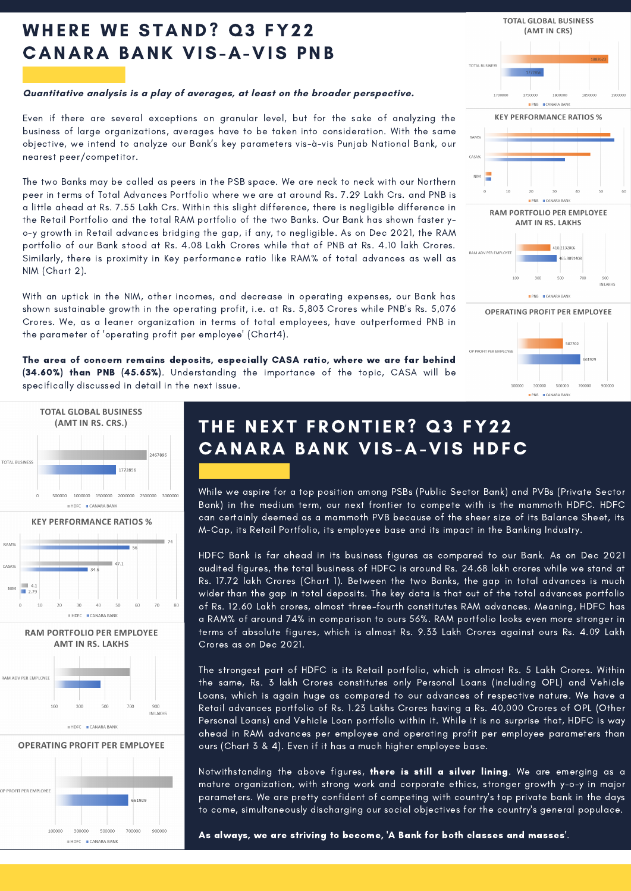# WHERE WE STAND? Q3 FY22 C ANARA BANK VIS-A-VIS PNB

#### **Quantitative analysis is a play of averages, at least on the broader perspective.**

Even if there are several exceptions on granular level, but for the sake of analyzing the business of large organizations, averages have to be taken into consideration. With the same objective, we intend to analyze our Bank's key parameters vis-à-vis Punjab National Bank, our nearest peer/competitor.

The two Banks may be called as peers in the PSB space. We are neck to neck with our Northern peer in terms of Total Advances Portfolio where we are at around Rs. 7.29 Lakh Crs. and PNB is a little ahead at Rs. 7.55 Lakh Crs. Within this slight difference, there is negligible difference in the Retail Portfolio and the total RAM portfolio of the two Banks. Our Bank has shown faster yo-y growth in Retail advances bridging the gap, if any, to negligible. As on Dec 2021, the RAM portfolio of our Bank stood at Rs. 4.08 Lakh Crores while that of PNB at Rs. 4.10 lakh Crores. Similarly, there is proximity in Key performance ratio like RAM% of total advances as well as NIM (Chart 2).

With an uptick in the NIM, other incomes, and decrease in operating expenses, our Bank has shown sustainable growth in the operating profit, i.e. at Rs. 5,803 Crores while PNB's Rs. 5,076 Crores. We, as a leaner organization in terms of total employees, have outperformed PNB in the parameter of 'operating profit per employee' (Chart4).

The area of concern remains deposits, especially CASA ratio, where we are far behind (34.60%) than PNB (45.65%). Understanding the importance of the topic, CASA will be specifically discussed in detail in the next issue.







 $\blacksquare$  HDFC  $\blacksquare$  CANARA BANK

THE NEXT FRONTIER? Q3 FY22 **CANARA BANK VIS-A-VIS HDFC** 

While we aspire for a top position among PSBs (Public Sector Bank) and PVBs (Private Sector Bank) in the medium term, our next frontier to compete with is the mammoth HDFC. HDFC can certainly deemed as a mammoth PVB because of the sheer size of its Balance Sheet, its M-Cap, its Retail Portfolio, its employee base and its impact in the Banking Industry.

HDFC Bank is far ahead in its business figures as compared to our Bank. As on Dec 2021 audited figures, the total business of HDFC is around Rs. 24.68 lakh crores while we stand at Rs. 17.72 lakh Crores (Chart 1). Between the two Banks, the gap in total advances is much wider than the gap in total deposits. The key data is that out of the total advances portfolio of Rs. 12.60 Lakh crores, almost three-fourth constitutes RAM advances. Meaning, HDFC has a RAM% of around 74% in comparison to ours 56%. RAM portfolio looks even more stronger in terms of absolute figures, which is almost Rs. 9.33 Lakh Crores against ours Rs. 4.09 Lakh Crores as on Dec 2021.

The strongest part of HDFC is its Retail portfolio, which is almost Rs. 5 Lakh Crores. Within the same, Rs. 3 lakh Crores constitutes only Personal Loans (including OPL) and Vehicle Loans, which is again huge as compared to our advances of respective nature. We have a Retail advances portfolio of Rs. 1.23 Lakhs Crores having a Rs. 40,000 Crores of OPL (Other Personal Loans) and Vehicle Loan portfolio within it. While it is no surprise that, HDFC is way ahead in RAM advances per employee and operating profit per employee parameters than ours (Chart 3 & 4). Even if it has a much higher employee base.

Notwithstanding the above figures, there is still a silver lining. We are emerging as a mature organization, with strong work and corporate ethics, stronger growth y-o-y in major parameters. We are pretty confident of competing with country's top private bank in the days to come, simultaneously discharging our social objectives for the country's general populace.

As always, we are striving to become, 'A Bank for both classes and masses'.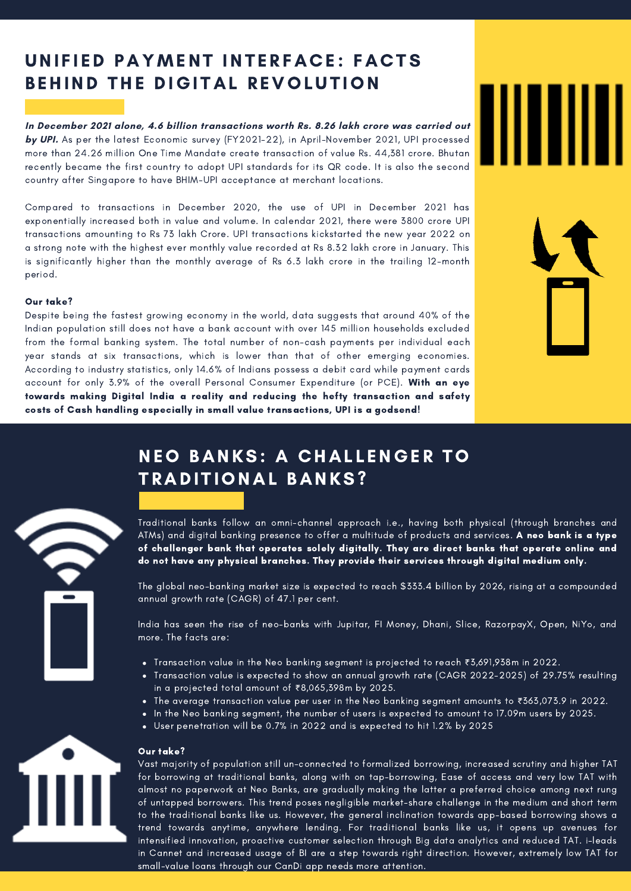# UNIFIED PAYMENT INTERFACE: FACTS BEHIND THE DIGITAL REVOLUTION

**In December 2021 alone, 4.6 billion transactions worth Rs. 8.26 lakh crore was carried out by UPI.** As per the latest Economic survey (FY2021-22), in April-November 2021, UPI processed more than 24.26 million One Time Mandate create transaction of value Rs. 44,381 crore. Bhutan recently became the first country to adopt UPI standards for its QR code. It is also the second country after Singapore to have BHIM-UPI acceptance at merchant locations.

Compared to transactions in December 2020, the use of UPI in December 2021 has exponentially increased both in value and volume. In calendar 2021, there were 3800 crore UPI transactions amounting to Rs 73 lakh Crore. UPI transactions kickstarted the new year 2022 on a strong note with the highest ever monthly value recorded at Rs 8.32 lakh crore in January. This is significantly higher than the monthly average of Rs 6.3 lakh crore in the trailing 12-month period.

#### Our take?

Despite being the fastest growing economy in the world, data suggests that around 40% of the Indian population still does not have a bank account with over 145 million [households](http://fletcher.tufts.edu/~/media/Fletcher/Microsites/Cost%20of%20Cash/IBGC%20WP14-08%20Ramesha%20Bapat%20Roy.pdf) excluded from the formal banking system. The total number of non-cash payments per individual each year stands at six transactions, which is lower than that of other emerging economies. According to industry statistics, only 14.6% of Indians possess a debit card while payment cards account for only 3.9% of the overall Personal Consumer Expenditure (or PCE). With an eye towards making Digital India a reality and reducing the hefty transaction and safety costs of Cash handling especially in small value transactions, UPI is a godsend!

# **NEO BANKS: A CHALLENGER TO** TRADITIONAL BANKS?

Traditional banks follow an omni-channel approach i.e., having both physical (through branches and ATMs) and digital banking presence to offer a multitude of products and services. **A neo bank is a type** of challenger bank that operates solely digitally. They are direct banks that operate online and do not have any physical branches. They provide their services through digital medium only.

The global neo-banking market size is expected to reach \$333.4 billion by 2026, rising at a compounded annual growth rate (CAGR) of 47.1 per cent.

India has seen the rise of neo-banks with Jupitar, FI Money, Dhani, Slice, RazorpayX, Open, NiYo, and more. The facts are:

- Transaction value in the Neo banking segment is projected to reach ₹3,691,938m in 2022.
- Transaction value is expected to show an annual growth rate (CAGR 2022-2025) of 29.75% resulting in a projected total amount of ₹8,065,398m by 2025.
- The average transaction value per user in the Neo banking segment amounts to ₹363,073.9 in 2022.
- In the Neo banking segment, the number of users is expected to amount to 17.09m users by 2025.
	- User penetration will be 0.7% in 2022 and is expected to hit 1.2% by 2025

#### Our take?

Vast majority of population still un-connected to formalized borrowing, increased scrutiny and higher TAT for borrowing at traditional banks, along with on tap-borrowing, Ease of access and very low TAT with almost no paperwork at Neo Banks, are gradually making the latter a preferred choice among next rung of untapped borrowers. This trend poses negligible market-share challenge in the medium and short term to the traditional banks like us. However, the general inclination towards app-based borrowing shows a trend towards anytime, anywhere lending. For traditional banks like us, it opens up avenues for intensified innovation, proactive customer selection through Big data analytics and reduced TAT. i-leads in Cannet and increased usage of BI are a step towards right direction. However, extremely low TAT for small-value loans through our CanDi app needs more attention.